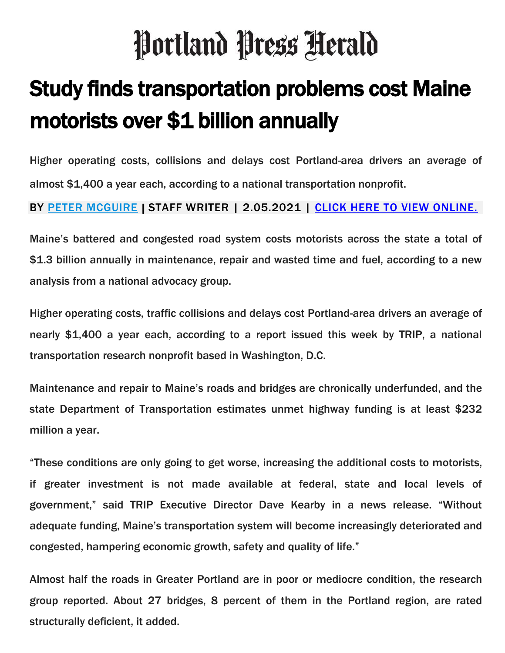## Portland Press Herald

## Study finds transportation problems cost Maine motorists over \$1 billion annually

Higher operating costs, collisions and delays cost Portland-area drivers an average of almost \$1,400 a year each, according to a national transportation nonprofit.

BY <u>PETER MCGUIRE</u> | STAFF WRITER | 2.05.2021 | <u>CLICK HERE TO VIEW ONLINE.</u>

Maine's battered and congested road system costs motorists across the state a total of \$1.3 billion annually in maintenance, repair and wasted time and fuel, according to a new analysis from a national advocacy group.

Higher operating costs, traffic collisions and delays cost Portland-area drivers an average of nearly \$1,400 a year each, according to a report issued this week by TRIP, a national transportation research nonprofit based in Washington, D.C.

Maintenance and repair to Maine's roads and bridges are chronically underfunded, and the state Department of Transportation estimates unmet highway funding is at least \$232 million a year.

"These conditions are only going to get worse, increasing the additional costs to motorists, if greater investment is not made available at federal, state and local levels of government," said TRIP Executive Director Dave Kearby in a news release. "Without adequate funding, Maine's transportation system will become increasingly deteriorated and congested, hampering economic growth, safety and quality of life."

Almost half the roads in Greater Portland are in poor or mediocre condition, the research group reported. About 27 bridges, 8 percent of them in the Portland region, are rated structurally deficient, it added.